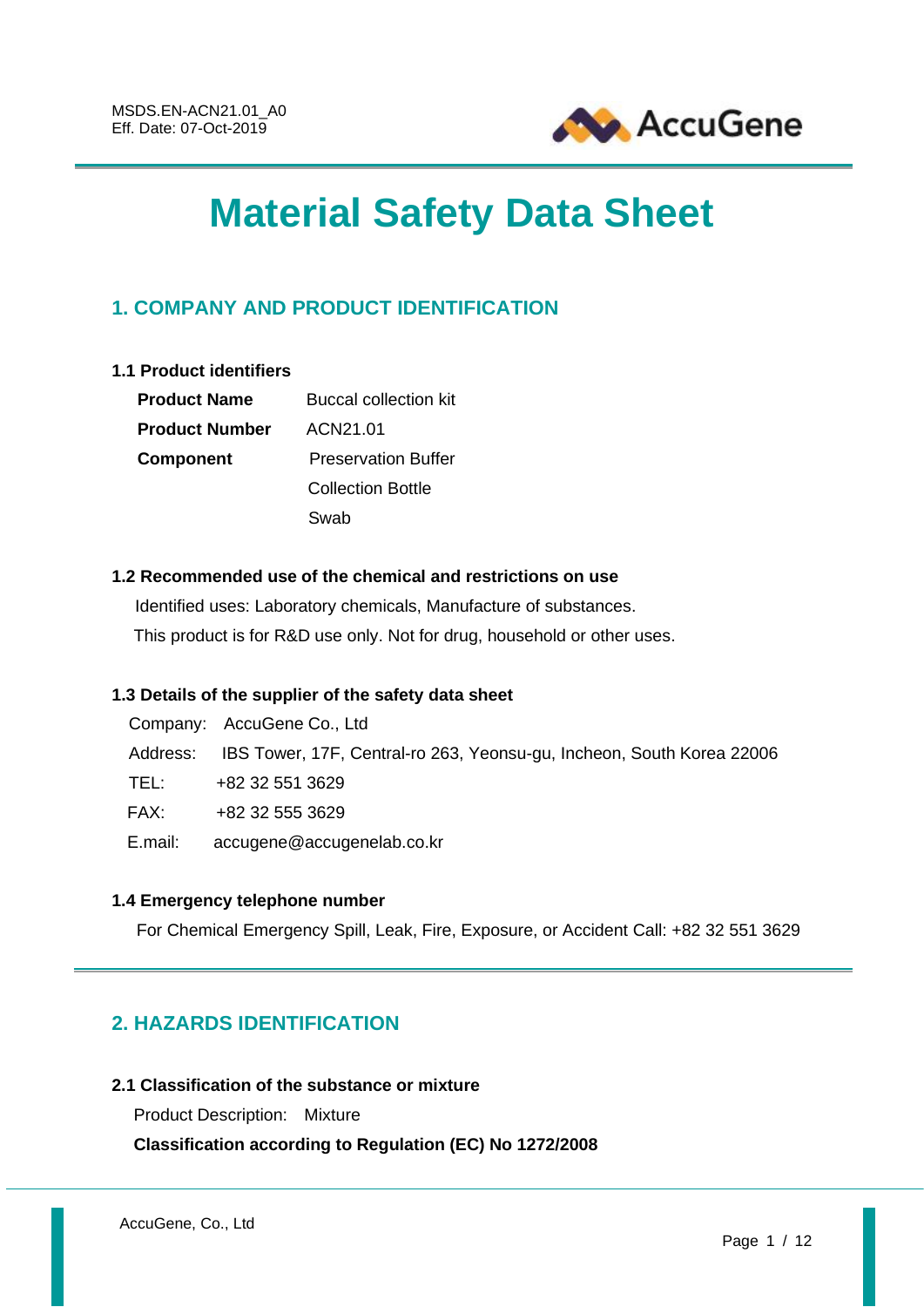

# **Material Safety Data Sheet**

# **1. COMPANY AND PRODUCT IDENTIFICATION**

# **1.1 Product identifiers**

| <b>Product Name</b>   | Buccal collection kit      |  |  |
|-----------------------|----------------------------|--|--|
| <b>Product Number</b> | ACN21.01                   |  |  |
| <b>Component</b>      | <b>Preservation Buffer</b> |  |  |
|                       | <b>Collection Bottle</b>   |  |  |
|                       | Swab                       |  |  |

# **1.2 Recommended use of the chemical and restrictions on use**

Identified uses: Laboratory chemicals, Manufacture of substances. This product is for R&D use only. Not for drug, household or other uses.

# **1.3 Details of the supplier of the safety data sheet**

|         | Company: AccuGene Co., Ltd                                                     |
|---------|--------------------------------------------------------------------------------|
|         | Address: IBS Tower, 17F, Central-ro 263, Yeonsu-gu, Incheon, South Korea 22006 |
| TEL:    | +82 32 551 3629                                                                |
| FAX:    | +82 32 555 3629                                                                |
| E.mail: | accugene@accugenelab.co.kr                                                     |

# **1.4 Emergency telephone number**

For Chemical Emergency Spill, Leak, Fire, Exposure, or Accident Call: +82 32 551 3629

# **2. HAZARDS IDENTIFICATION**

# **2.1 Classification of the substance or mixture**

Product Description: Mixture **Classification according to Regulation (EC) No 1272/2008**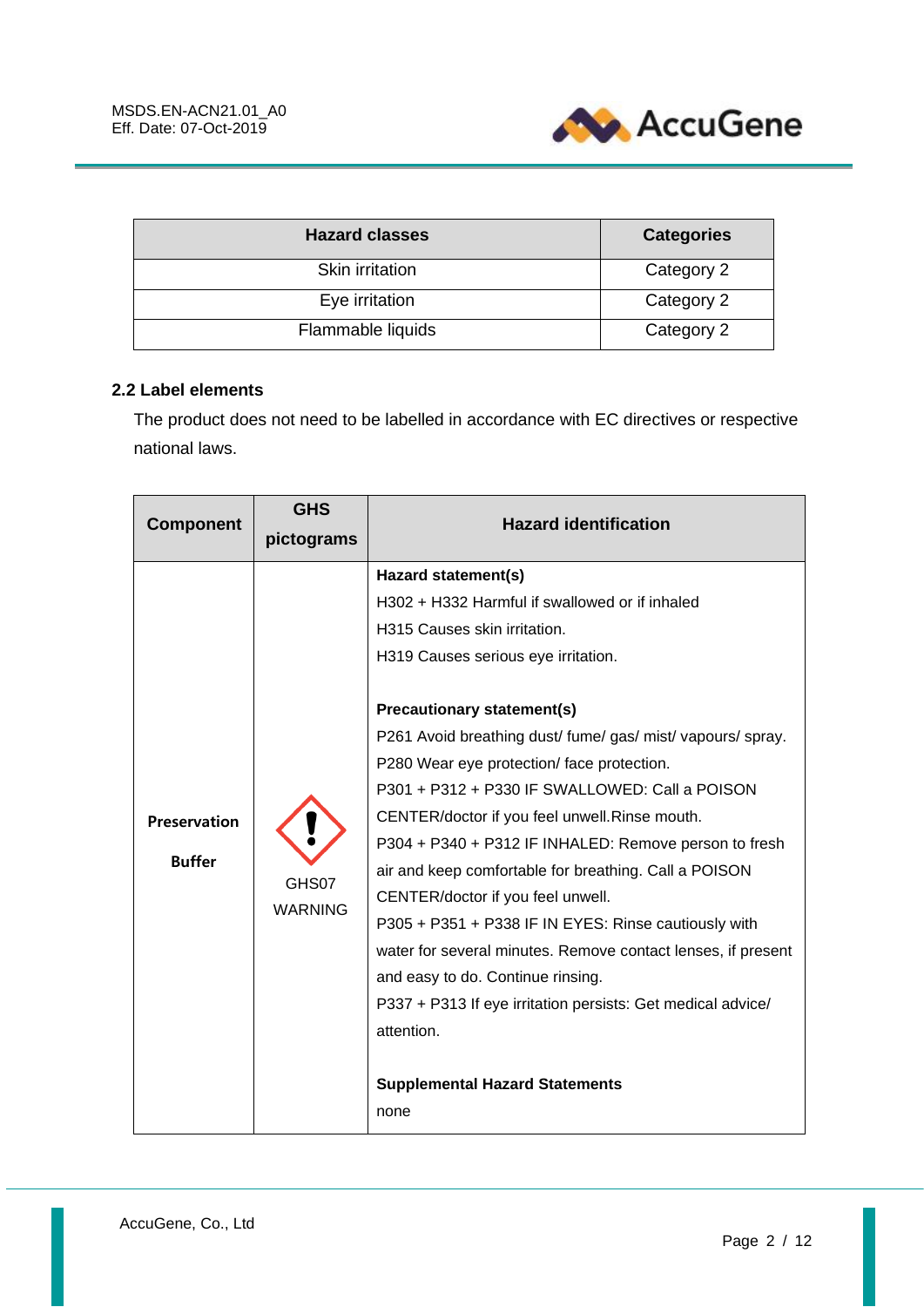

| <b>Hazard classes</b> | <b>Categories</b> |  |  |
|-----------------------|-------------------|--|--|
| Skin irritation       | Category 2        |  |  |
| Eye irritation        | Category 2        |  |  |
| Flammable liquids     | Category 2        |  |  |

# **2.2 Label elements**

The product does not need to be labelled in accordance with EC directives or respective national laws.

| <b>Component</b>                     | <b>GHS</b>              | <b>Hazard identification</b>                                                                                                                                                                                                                                                                                                                                                                                                                                                                                                                                                                                                                                                                                                                                                                                                                        |  |  |
|--------------------------------------|-------------------------|-----------------------------------------------------------------------------------------------------------------------------------------------------------------------------------------------------------------------------------------------------------------------------------------------------------------------------------------------------------------------------------------------------------------------------------------------------------------------------------------------------------------------------------------------------------------------------------------------------------------------------------------------------------------------------------------------------------------------------------------------------------------------------------------------------------------------------------------------------|--|--|
|                                      | pictograms              |                                                                                                                                                                                                                                                                                                                                                                                                                                                                                                                                                                                                                                                                                                                                                                                                                                                     |  |  |
| <b>Preservation</b><br><b>Buffer</b> | GHS07<br><b>WARNING</b> | Hazard statement(s)<br>H302 + H332 Harmful if swallowed or if inhaled<br>H315 Causes skin irritation.<br>H319 Causes serious eye irritation.<br><b>Precautionary statement(s)</b><br>P261 Avoid breathing dust/ fume/ gas/ mist/ vapours/ spray.<br>P280 Wear eye protection/face protection.<br>P301 + P312 + P330 IF SWALLOWED: Call a POISON<br>CENTER/doctor if you feel unwell. Rinse mouth.<br>P304 + P340 + P312 IF INHALED: Remove person to fresh<br>air and keep comfortable for breathing. Call a POISON<br>CENTER/doctor if you feel unwell.<br>P305 + P351 + P338 IF IN EYES: Rinse cautiously with<br>water for several minutes. Remove contact lenses, if present<br>and easy to do. Continue rinsing.<br>P337 + P313 If eye irritation persists: Get medical advice/<br>attention.<br><b>Supplemental Hazard Statements</b><br>none |  |  |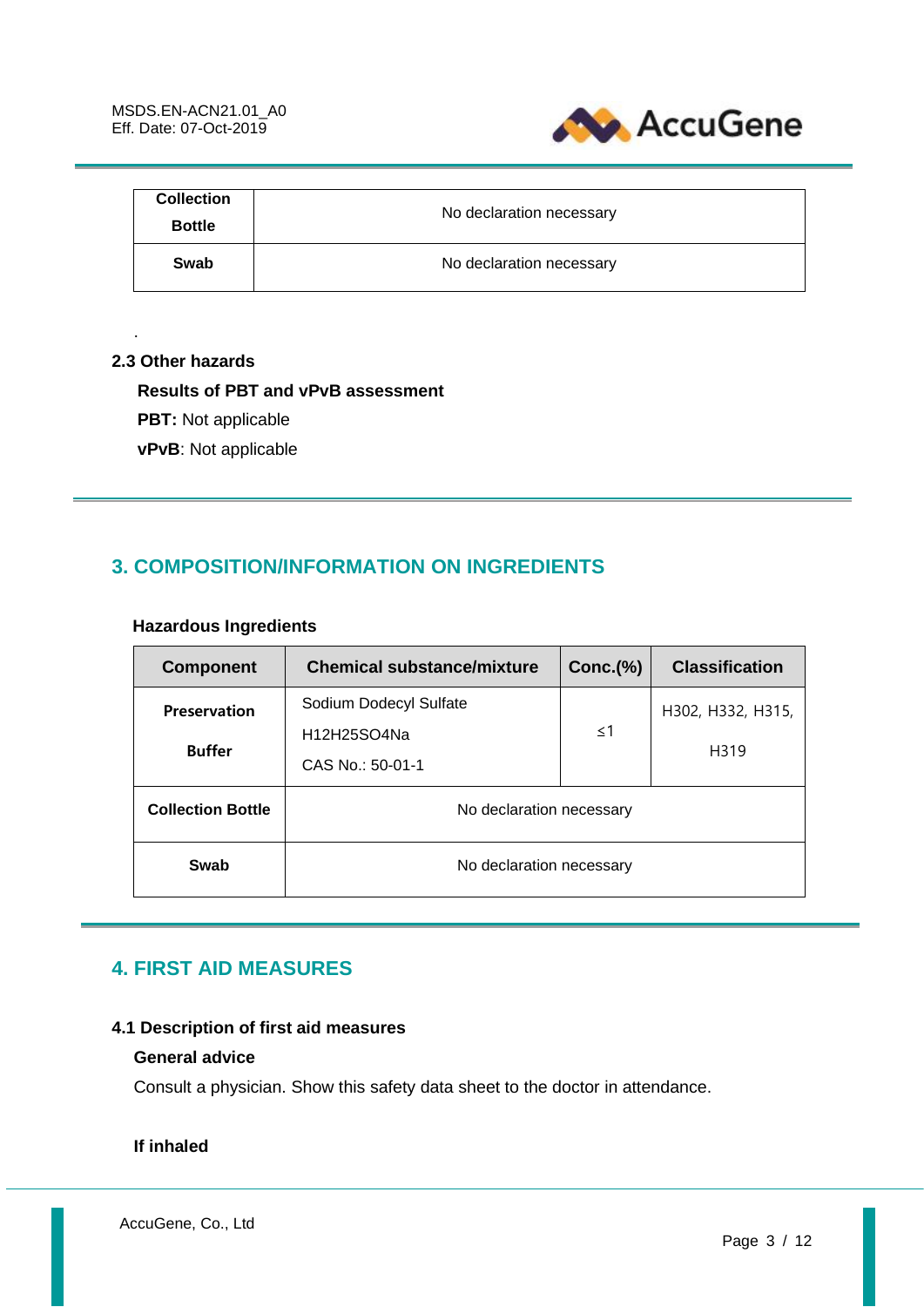

| <b>Collection</b><br><b>Bottle</b> | No declaration necessary |
|------------------------------------|--------------------------|
| Swab                               | No declaration necessary |

#### **2.3 Other hazards**

.

## **Results of PBT and vPvB assessment**

- **PBT:** Not applicable
- **vPvB**: Not applicable

# **3. COMPOSITION/INFORMATION ON INGREDIENTS**

# **Hazardous Ingredients**

| <b>Component</b>                     | <b>Chemical substance/mixture</b>                         | $Conc.$ $\%$ | <b>Classification</b>     |
|--------------------------------------|-----------------------------------------------------------|--------------|---------------------------|
| <b>Preservation</b><br><b>Buffer</b> | Sodium Dodecyl Sulfate<br>H12H25SO4Na<br>CAS No.: 50-01-1 | $\leq$ 1     | H302, H332, H315,<br>H319 |
| <b>Collection Bottle</b>             | No declaration necessary                                  |              |                           |
| Swab                                 | No declaration necessary                                  |              |                           |

# **4. FIRST AID MEASURES**

# **4.1 Description of first aid measures**

# **General advice**

Consult a physician. Show this safety data sheet to the doctor in attendance.

# **If inhaled**

AccuGene, Co., Ltd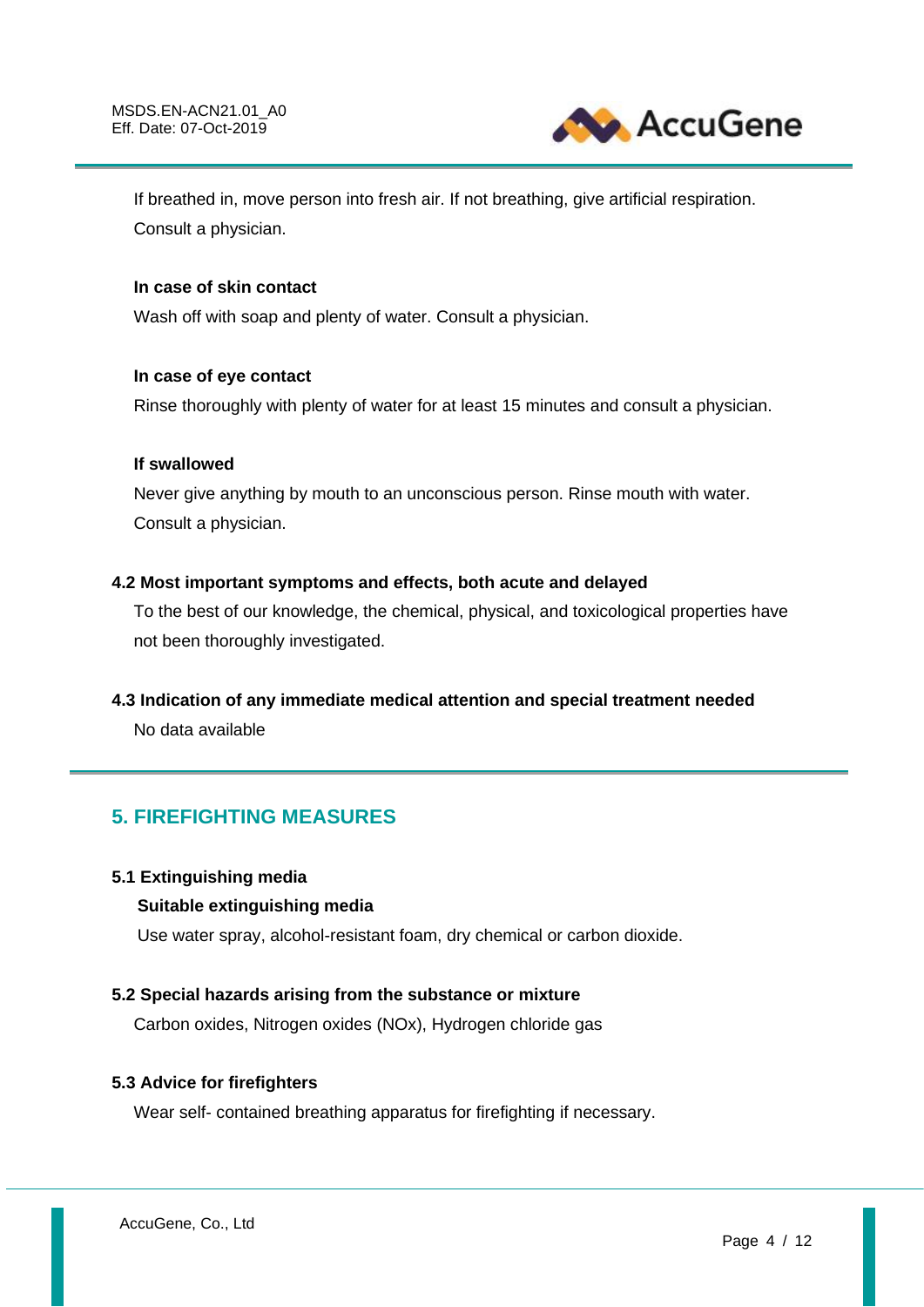

If breathed in, move person into fresh air. If not breathing, give artificial respiration. Consult a physician.

## **In case of skin contact**

Wash off with soap and plenty of water. Consult a physician.

#### **In case of eye contact**

Rinse thoroughly with plenty of water for at least 15 minutes and consult a physician.

#### **If swallowed**

Never give anything by mouth to an unconscious person. Rinse mouth with water. Consult a physician.

# **4.2 Most important symptoms and effects, both acute and delayed**

To the best of our knowledge, the chemical, physical, and toxicological properties have not been thoroughly investigated.

# **4.3 Indication of any immediate medical attention and special treatment needed**

No data available

# **5. FIREFIGHTING MEASURES**

#### **5.1 Extinguishing media**

# **Suitable extinguishing media**

Use water spray, alcohol-resistant foam, dry chemical or carbon dioxide.

# **5.2 Special hazards arising from the substance or mixture**

Carbon oxides, Nitrogen oxides (NOx), Hydrogen chloride gas

#### **5.3 Advice for firefighters**

Wear self- contained breathing apparatus for firefighting if necessary.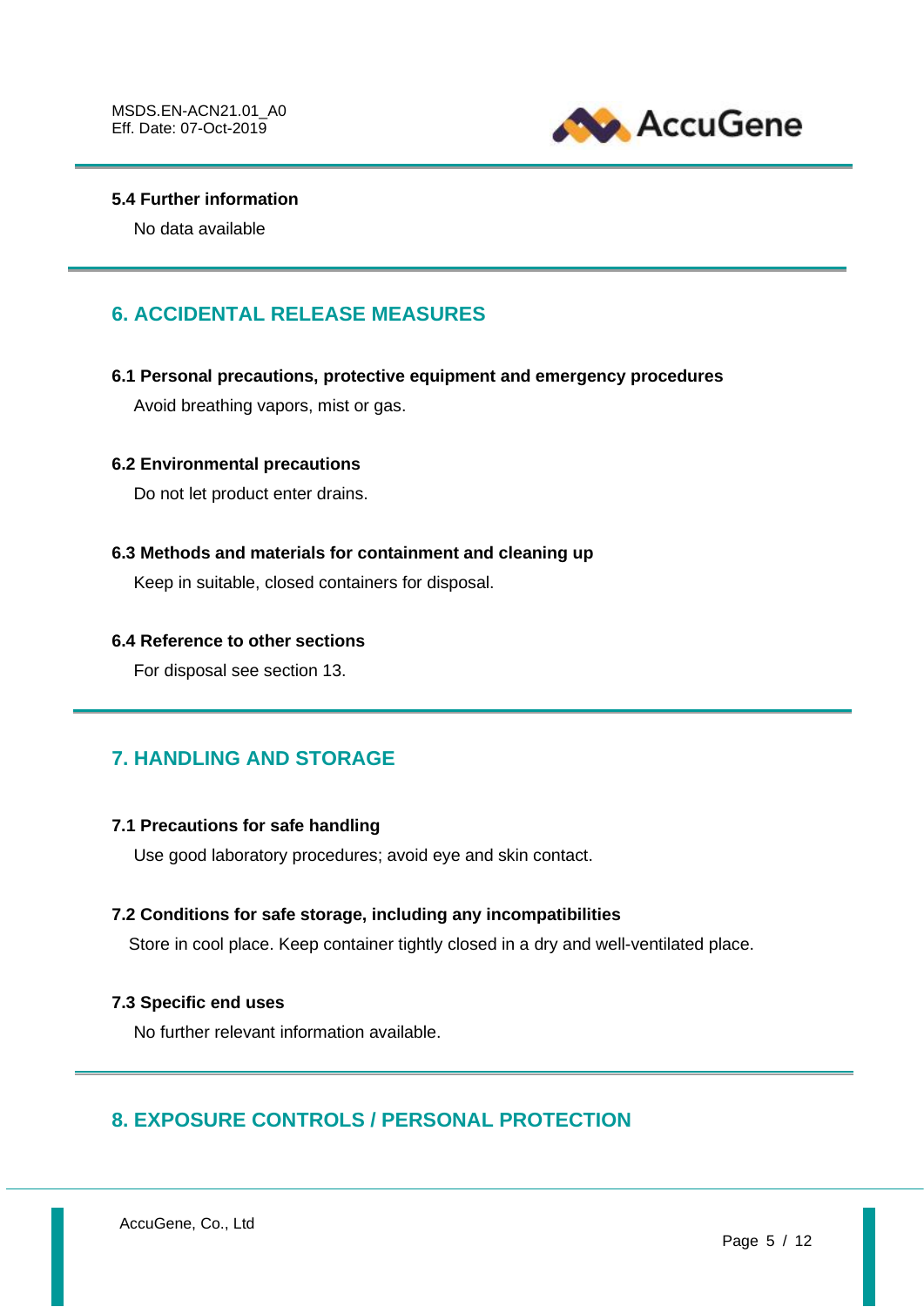

## **5.4 Further information**

No data available

# **6. ACCIDENTAL RELEASE MEASURES**

#### **6.1 Personal precautions, protective equipment and emergency procedures**

Avoid breathing vapors, mist or gas.

#### **6.2 Environmental precautions**

Do not let product enter drains.

#### **6.3 Methods and materials for containment and cleaning up**

Keep in suitable, closed containers for disposal.

#### **6.4 Reference to other sections**

For disposal see section 13.

# **7. HANDLING AND STORAGE**

## **7.1 Precautions for safe handling**

Use good laboratory procedures; avoid eye and skin contact.

#### **7.2 Conditions for safe storage, including any incompatibilities**

Store in cool place. Keep container tightly closed in a dry and well-ventilated place.

#### **7.3 Specific end uses**

No further relevant information available.

# **8. EXPOSURE CONTROLS / PERSONAL PROTECTION**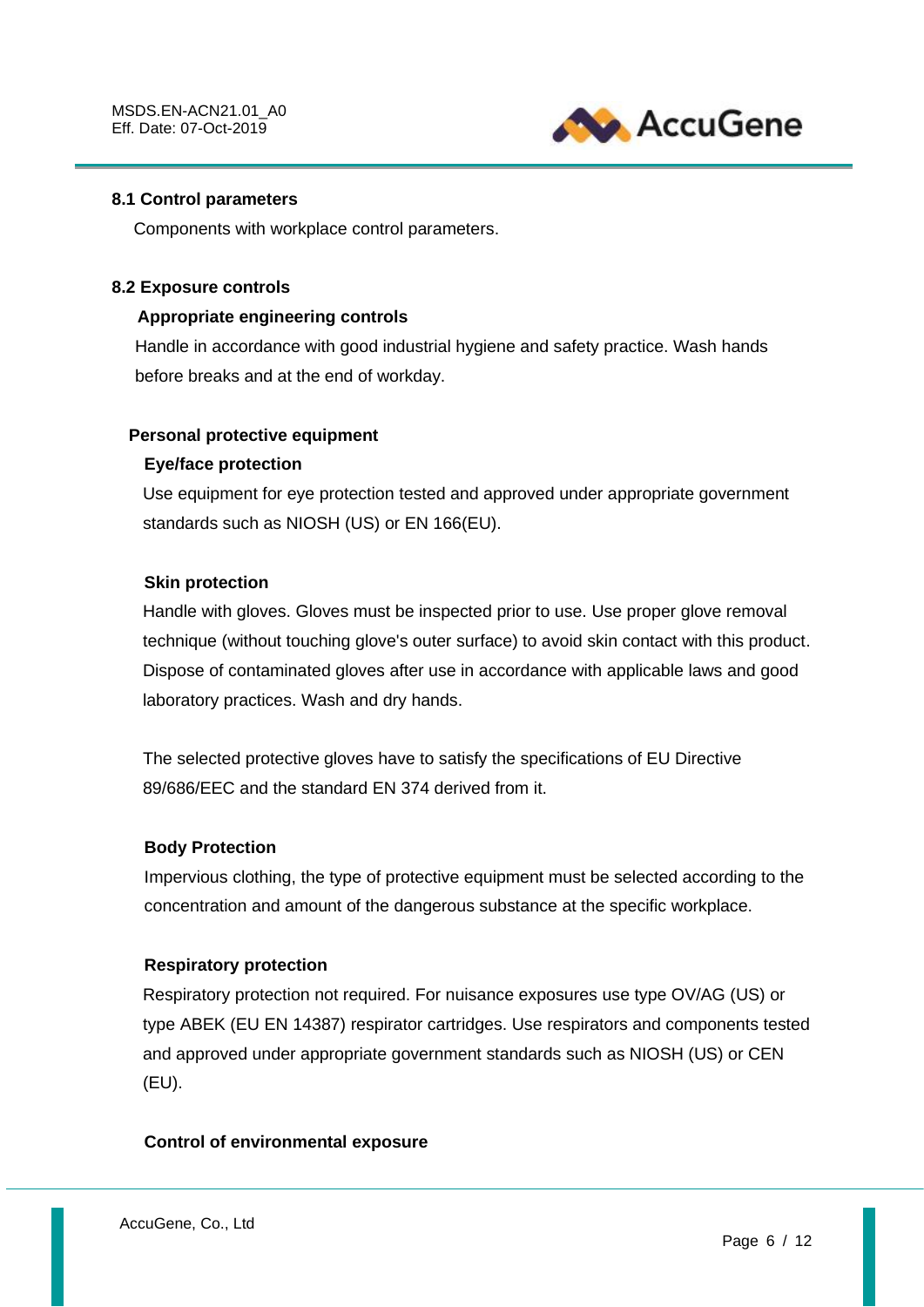

#### **8.1 Control parameters**

Components with workplace control parameters.

#### **8.2 Exposure controls**

## **Appropriate engineering controls**

Handle in accordance with good industrial hygiene and safety practice. Wash hands before breaks and at the end of workday.

## **Personal protective equipment**

## **Eye/face protection**

Use equipment for eye protection tested and approved under appropriate government standards such as NIOSH (US) or EN 166(EU).

## **Skin protection**

Handle with gloves. Gloves must be inspected prior to use. Use proper glove removal technique (without touching glove's outer surface) to avoid skin contact with this product. Dispose of contaminated gloves after use in accordance with applicable laws and good laboratory practices. Wash and dry hands.

The selected protective gloves have to satisfy the specifications of EU Directive 89/686/EEC and the standard EN 374 derived from it.

#### **Body Protection**

Impervious clothing, the type of protective equipment must be selected according to the concentration and amount of the dangerous substance at the specific workplace.

#### **Respiratory protection**

Respiratory protection not required. For nuisance exposures use type OV/AG (US) or type ABEK (EU EN 14387) respirator cartridges. Use respirators and components tested and approved under appropriate government standards such as NIOSH (US) or CEN (EU).

#### **Control of environmental exposure**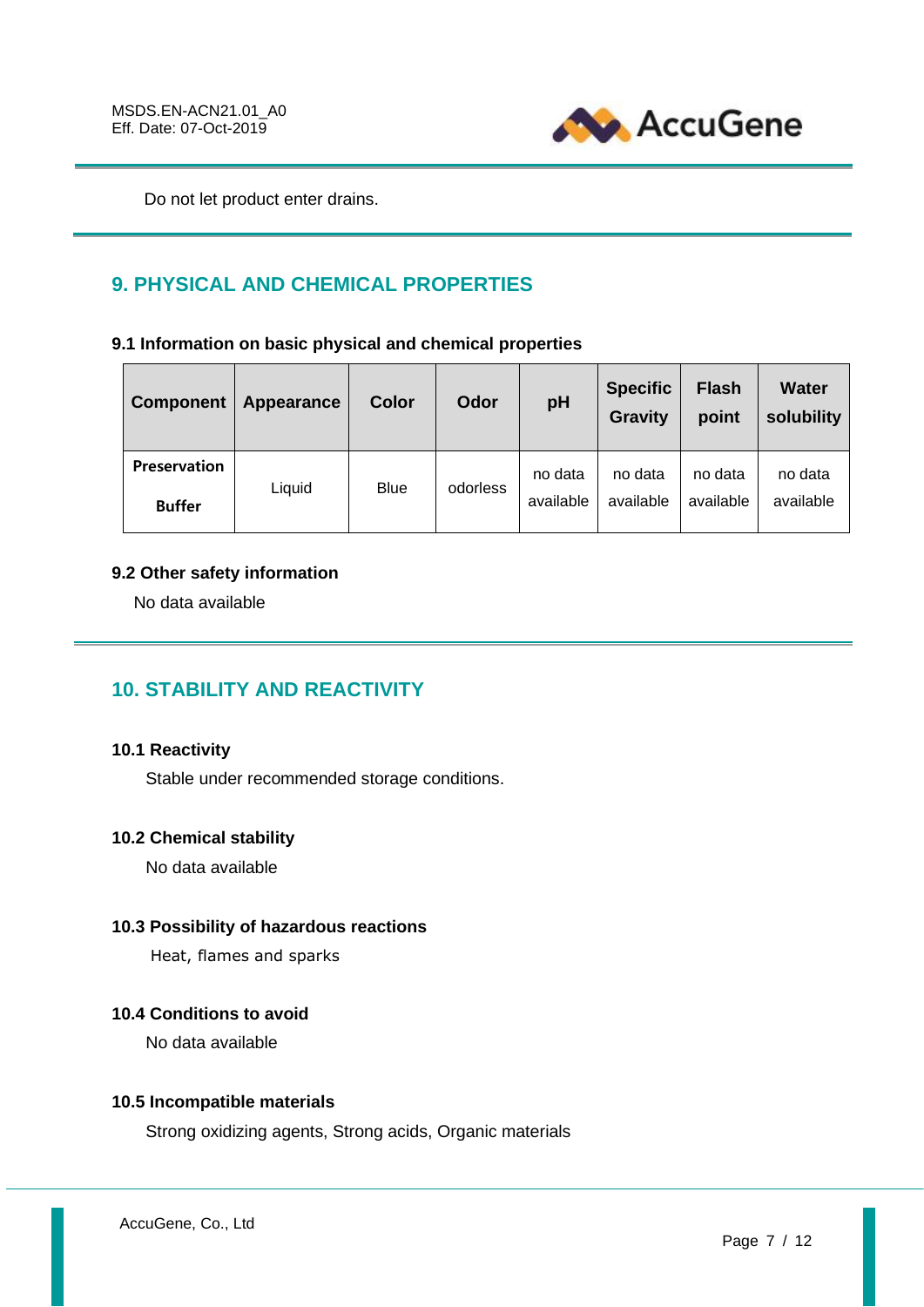

Do not let product enter drains.

# **9. PHYSICAL AND CHEMICAL PROPERTIES**

**9.1 Information on basic physical and chemical properties**

| <b>Component</b>              | Appearance | <b>Color</b> | Odor     | pH                   | <b>Specific</b><br><b>Gravity</b> | <b>Flash</b><br>point | <b>Water</b><br>solubility |
|-------------------------------|------------|--------------|----------|----------------------|-----------------------------------|-----------------------|----------------------------|
| Preservation<br><b>Buffer</b> | Liquid     | <b>Blue</b>  | odorless | no data<br>available | no data<br>available              | no data<br>available  | no data<br>available       |

# **9.2 Other safety information**

No data available

# **10. STABILITY AND REACTIVITY**

# **10.1 Reactivity**

Stable under recommended storage conditions.

# **10.2 Chemical stability**

No data available

# **10.3 Possibility of hazardous reactions**

Heat, flames and sparks

# **10.4 Conditions to avoid**

No data available

# **10.5 Incompatible materials**

Strong oxidizing agents, Strong acids, Organic materials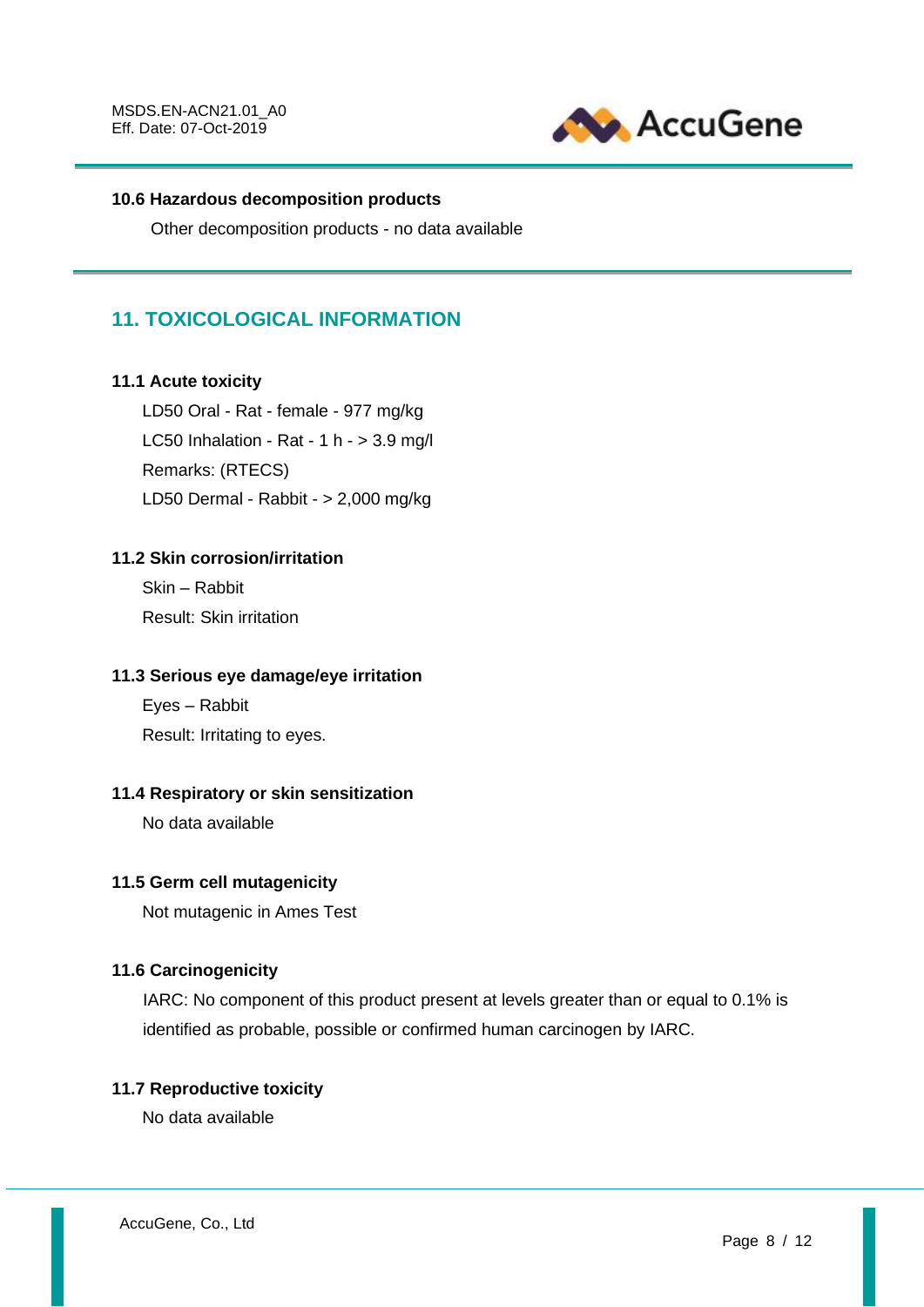

# **10.6 Hazardous decomposition products**

Other decomposition products - no data available

# **11. TOXICOLOGICAL INFORMATION**

# **11.1 Acute toxicity**

LD50 Oral - Rat - female - 977 mg/kg LC50 Inhalation - Rat - 1 h -  $>$  3.9 mg/l Remarks: (RTECS) LD50 Dermal - Rabbit - > 2,000 mg/kg

# **11.2 Skin corrosion/irritation**

Skin – Rabbit Result: Skin irritation

## **11.3 Serious eye damage/eye irritation**

Eyes – Rabbit Result: Irritating to eyes.

# **11.4 Respiratory or skin sensitization**

No data available

# **11.5 Germ cell mutagenicity**

Not mutagenic in Ames Test

# **11.6 Carcinogenicity**

IARC: No component of this product present at levels greater than or equal to 0.1% is identified as probable, possible or confirmed human carcinogen by IARC.

# **11.7 Reproductive toxicity**

No data available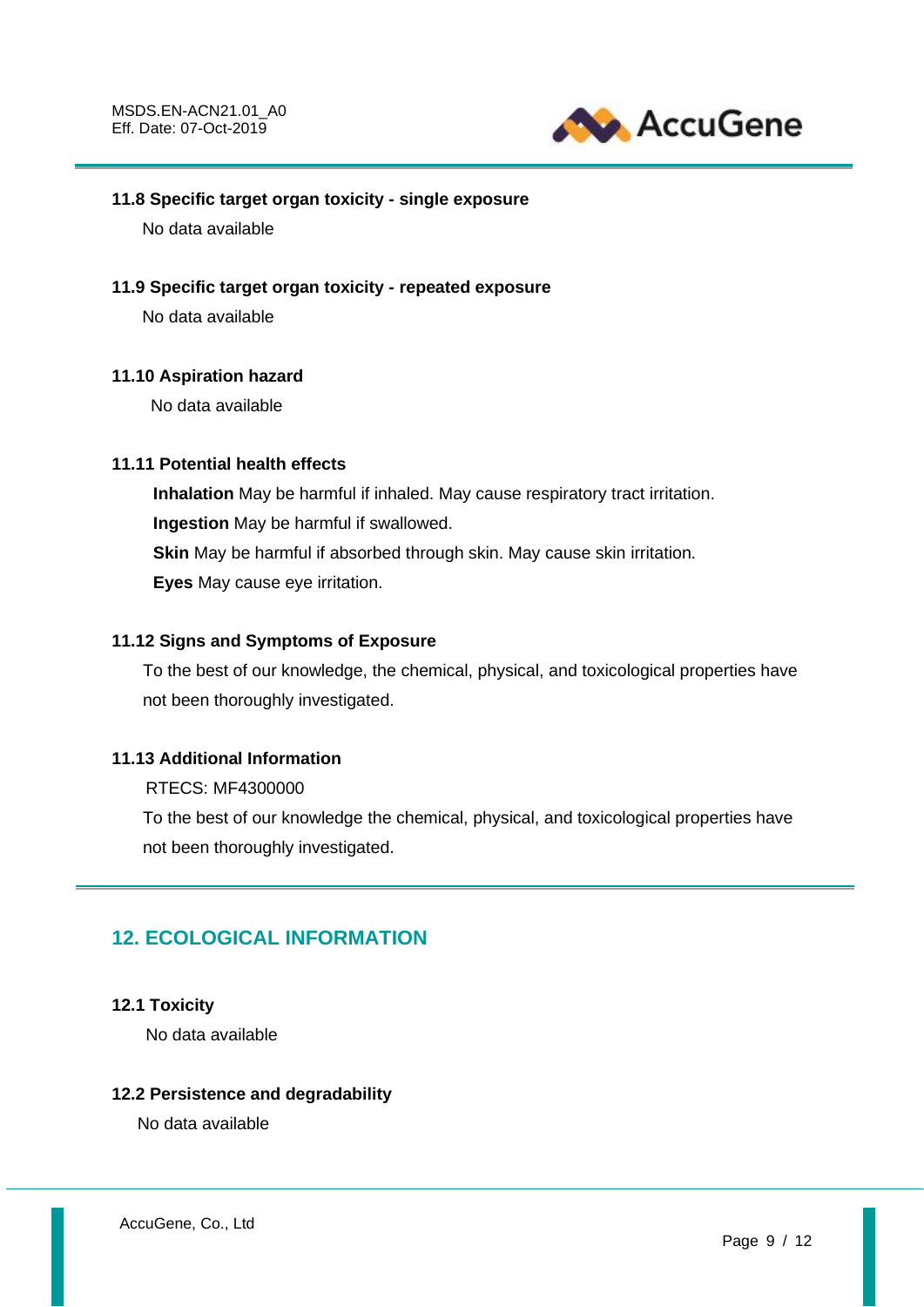

## **11.8 Specific target organ toxicity - single exposure**

No data available

#### **11.9 Specific target organ toxicity - repeated exposure**

No data available

#### **11.10 Aspiration hazard**

No data available

## **11.11 Potential health effects**

**Inhalation** May be harmful if inhaled. May cause respiratory tract irritation. **Ingestion** May be harmful if swallowed. **Skin** May be harmful if absorbed through skin. May cause skin irritation. **Eyes** May cause eye irritation.

## **11.12 Signs and Symptoms of Exposure**

To the best of our knowledge, the chemical, physical, and toxicological properties have not been thoroughly investigated.

## **11.13 Additional Information**

RTECS: MF4300000

To the best of our knowledge the chemical, physical, and toxicological properties have not been thoroughly investigated.

# **12. ECOLOGICAL INFORMATION**

#### **12.1 Toxicity**

No data available

#### **12.2 Persistence and degradability**

No data available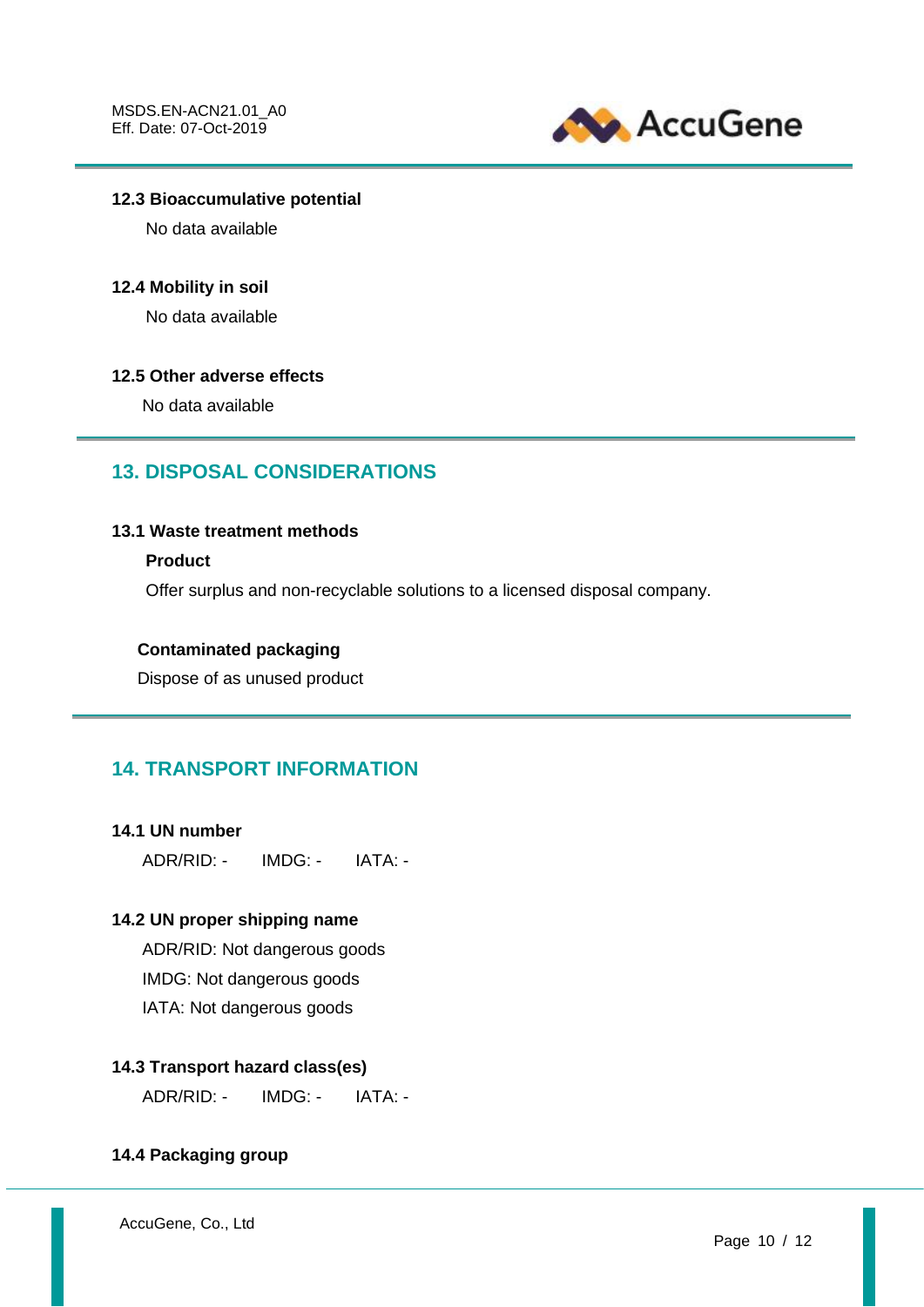

## **12.3 Bioaccumulative potential**

No data available

#### **12.4 Mobility in soil**

No data available

#### **12.5 Other adverse effects**

No data available

# **13. DISPOSAL CONSIDERATIONS**

## **13.1 Waste treatment methods**

#### **Product**

Offer surplus and non-recyclable solutions to a licensed disposal company.

## **Contaminated packaging**

Dispose of as unused product

# **14. TRANSPORT INFORMATION**

#### **14.1 UN number**

ADR/RID: - IMDG: - IATA: -

# **14.2 UN proper shipping name**

ADR/RID: Not dangerous goods IMDG: Not dangerous goods IATA: Not dangerous goods

# **14.3 Transport hazard class(es)**

ADR/RID: - IMDG: - IATA: -

#### **14.4 Packaging group**

AccuGene, Co., Ltd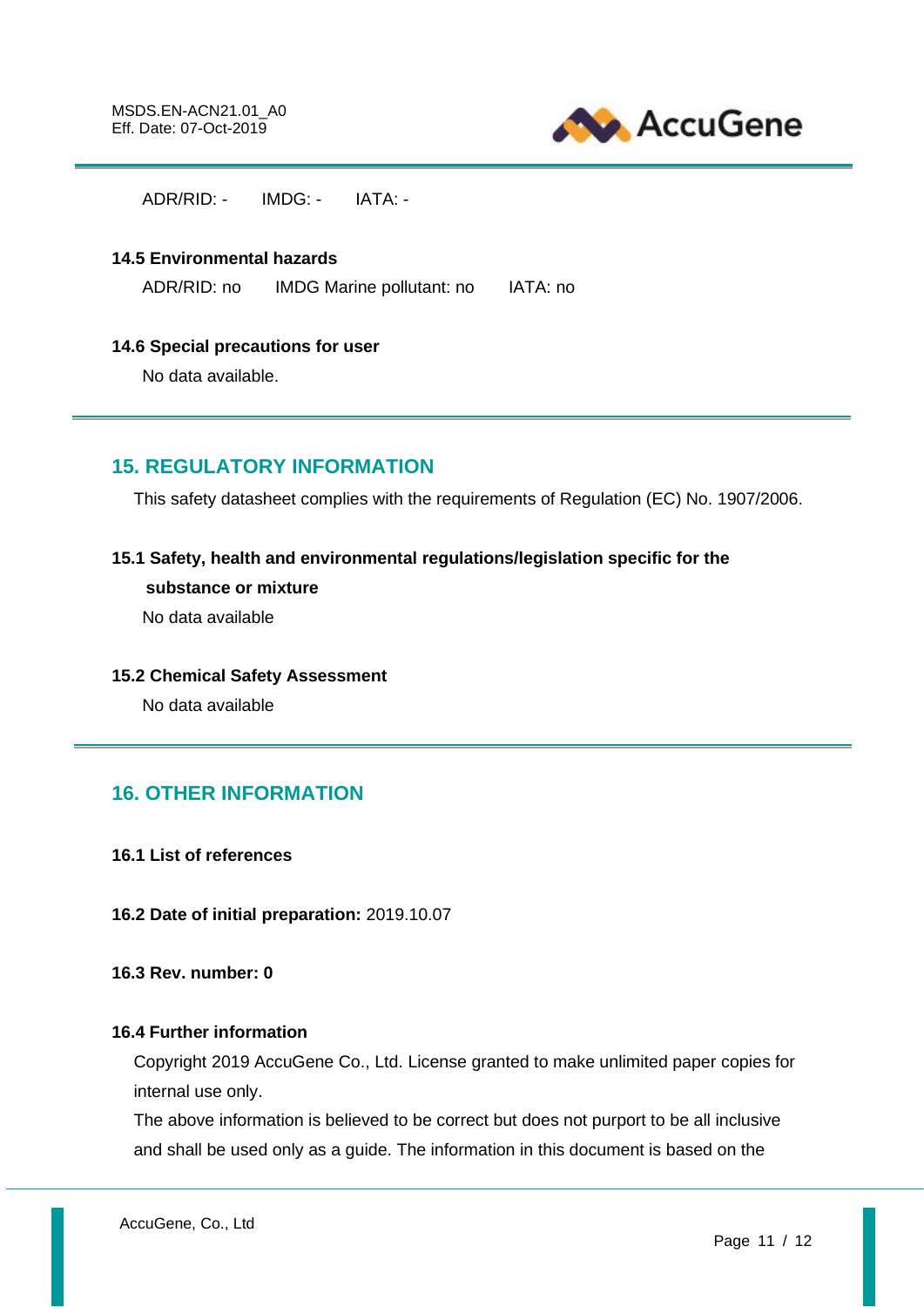

 $ADR/RID:$   $IMDG:$   $IATA:$ 

#### **14.5 Environmental hazards**

ADR/RID: no IMDG Marine pollutant: no IATA: no

#### **14.6 Special precautions for user**

No data available.

# **15. REGULATORY INFORMATION**

This safety datasheet complies with the requirements of Regulation (EC) No. 1907/2006.

## **15.1 Safety, health and environmental regulations/legislation specific for the**

#### **substance or mixture**

No data available

#### **15.2 Chemical Safety Assessment**

No data available

# **16. OTHER INFORMATION**

- **16.1 List of references**
- **16.2 Date of initial preparation:** 2019.10.07

**16.3 Rev. number: 0**

## **16.4 Further information**

Copyright 2019 AccuGene Co., Ltd. License granted to make unlimited paper copies for internal use only.

The above information is believed to be correct but does not purport to be all inclusive and shall be used only as a guide. The information in this document is based on the